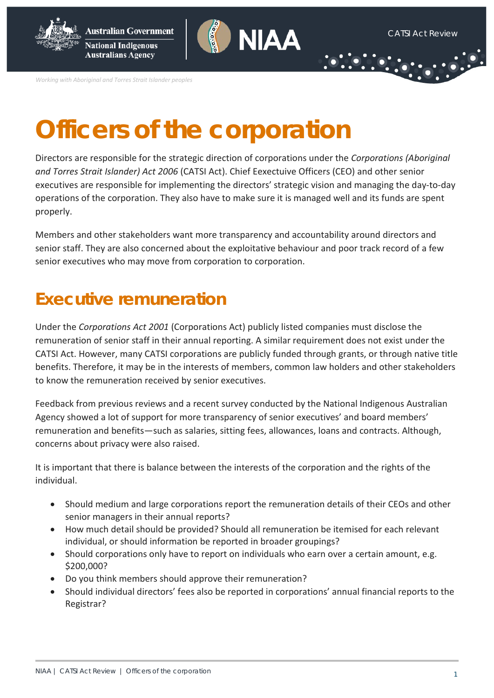

*Working with Aboriginal and Torres Strait Islander peoples*

# **Officers of the corporation**

Directors are responsible for the strategic direction of corporations under the *Corporations (Aboriginal and Torres Strait Islander) Act 2006* (CATSI Act). Chief Eexectuive Officers (CEO) and other senior executives are responsible for implementing the directors' strategic vision and managing the day-to-day operations of the corporation. They also have to make sure it is managed well and its funds are spent properly.

Members and other stakeholders want more transparency and accountability around directors and senior staff. They are also concerned about the exploitative behaviour and poor track record of a few senior executives who may move from corporation to corporation.

### **Executive remuneration**

Under the *Corporations Act 2001* (Corporations Act) publicly listed companies must disclose the remuneration of senior staff in their annual reporting. A similar requirement does not exist under the CATSI Act. However, many CATSI corporations are publicly funded through grants, or through native title benefits. Therefore, it may be in the interests of members, common law holders and other stakeholders to know the remuneration received by senior executives.

Feedback from previous reviews and a recent survey conducted by the National Indigenous Australian Agency showed a lot of support for more transparency of senior executives' and board members' remuneration and benefits—such as salaries, sitting fees, allowances, loans and contracts. Although, concerns about privacy were also raised.

It is important that there is balance between the interests of the corporation and the rights of the individual.

- Should medium and large corporations report the remuneration details of their CEOs and other senior managers in their annual reports?
- How much detail should be provided? Should all remuneration be itemised for each relevant individual, or should information be reported in broader groupings?
- Should corporations only have to report on individuals who earn over a certain amount, e.g. \$200,000?
- Do you think members should approve their remuneration?
- Should individual directors' fees also be reported in corporations' annual financial reports to the Registrar?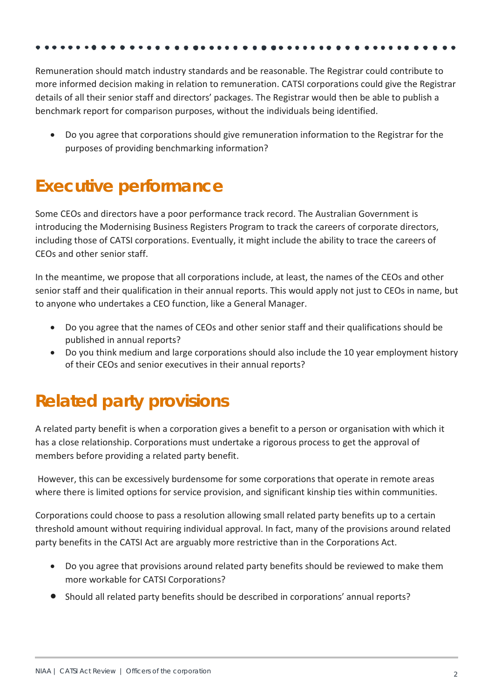Remuneration should match industry standards and be reasonable. The Registrar could contribute to more informed decision making in relation to remuneration. CATSI corporations could give the Registrar details of all their senior staff and directors' packages. The Registrar would then be able to publish a benchmark report for comparison purposes, without the individuals being identified.

• Do you agree that corporations should give remuneration information to the Registrar for the purposes of providing benchmarking information?

### **Executive performance**

Some CEOs and directors have a poor performance track record. The Australian Government is introducing the Modernising Business Registers Program to track the careers of corporate directors, including those of CATSI corporations. Eventually, it might include the ability to trace the careers of CEOs and other senior staff.

In the meantime, we propose that all corporations include, at least, the names of the CEOs and other senior staff and their qualification in their annual reports. This would apply not just to CEOs in name, but to anyone who undertakes a CEO function, like a General Manager.

- Do you agree that the names of CEOs and other senior staff and their qualifications should be published in annual reports?
- Do you think medium and large corporations should also include the 10 year employment history of their CEOs and senior executives in their annual reports?

## **Related party provisions**

A related party benefit is when a corporation gives a benefit to a person or organisation with which it has a close relationship. Corporations must undertake a rigorous process to get the approval of members before providing a related party benefit.

However, this can be excessively burdensome for some corporations that operate in remote areas where there is limited options for service provision, and significant kinship ties within communities.

Corporations could choose to pass a resolution allowing small related party benefits up to a certain threshold amount without requiring individual approval. In fact, many of the provisions around related party benefits in the CATSI Act are arguably more restrictive than in the Corporations Act.

- Do you agree that provisions around related party benefits should be reviewed to make them more workable for CATSI Corporations?
- Should all related party benefits should be described in corporations' annual reports?